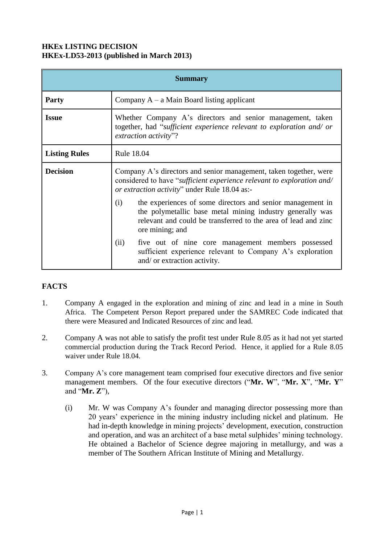## **HKEx LISTING DECISION HKEx-LD53-2013 (published in March 2013)**

| <b>Summary</b>       |                                                                                                                                                                                                                     |
|----------------------|---------------------------------------------------------------------------------------------------------------------------------------------------------------------------------------------------------------------|
| <b>Party</b>         | Company $A - a$ Main Board listing applicant                                                                                                                                                                        |
| <b>Issue</b>         | Whether Company A's directors and senior management, taken<br>together, had "sufficient experience relevant to exploration and/ or<br>extraction activity"?                                                         |
| <b>Listing Rules</b> | Rule 18.04                                                                                                                                                                                                          |
| <b>Decision</b>      | Company A's directors and senior management, taken together, were<br>considered to have "sufficient experience relevant to exploration and/<br>or extraction activity" under Rule 18.04 as:-                        |
|                      | the experiences of some directors and senior management in<br>(i)<br>the polymetallic base metal mining industry generally was<br>relevant and could be transferred to the area of lead and zinc<br>ore mining; and |
|                      | five out of nine core management members possessed<br>(ii)<br>sufficient experience relevant to Company A's exploration<br>and/ or extraction activity.                                                             |

# **FACTS**

- 1. Company A engaged in the exploration and mining of zinc and lead in a mine in South Africa. The Competent Person Report prepared under the SAMREC Code indicated that there were Measured and Indicated Resources of zinc and lead.
- 2. Company A was not able to satisfy the profit test under Rule 8.05 as it had not yet started commercial production during the Track Record Period. Hence, it applied for a Rule 8.05 waiver under Rule 18.04.
- 3. Company A's core management team comprised four executive directors and five senior management members. Of the four executive directors ("**Mr. W**", "**Mr. X**", "**Mr. Y**" and "**Mr. Z**"),
	- (i) Mr. W was Company A's founder and managing director possessing more than 20 years' experience in the mining industry including nickel and platinum. He had in-depth knowledge in mining projects' development, execution, construction and operation, and was an architect of a base metal sulphides' mining technology. He obtained a Bachelor of Science degree majoring in metallurgy, and was a member of The Southern African Institute of Mining and Metallurgy.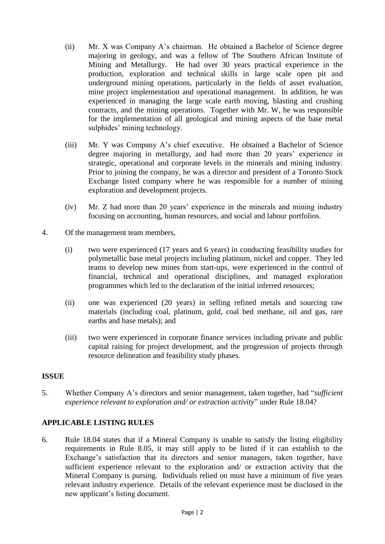- (ii) Mr. X was Company A's chairman. He obtained a Bachelor of Science degree majoring in geology, and was a fellow of The Southern African Institute of Mining and Metallurgy. He had over 30 years practical experience in the production, exploration and technical skills in large scale open pit and underground mining operations, particularly in the fields of asset evaluation, mine project implementation and operational management. In addition, he was experienced in managing the large scale earth moving, blasting and crushing contracts, and the mining operations. Together with Mr. W, he was responsible for the implementation of all geological and mining aspects of the base metal sulphides' mining technology.
- (iii) Mr. Y was Company A's chief executive. He obtained a Bachelor of Science degree majoring in metallurgy, and had more than 20 years' experience in strategic, operational and corporate levels in the minerals and mining industry. Prior to joining the company, he was a director and president of a Toronto Stock Exchange listed company where he was responsible for a number of mining exploration and development projects.
- (iv) Mr. Z had more than 20 years' experience in the minerals and mining industry focusing on accounting, human resources, and social and labour portfolios.
- 4. Of the management team members,
	- (i) two were experienced (17 years and 6 years) in conducting feasibility studies for polymetallic base metal projects including platinum, nickel and copper. They led teams to develop new mines from start-ups, were experienced in the control of financial, technical and operational disciplines, and managed exploration programmes which led to the declaration of the initial inferred resources;
	- (ii) one was experienced (20 years) in selling refined metals and sourcing raw materials (including coal, platinum, gold, coal bed methane, oil and gas, rare earths and base metals); and
	- (iii) two were experienced in corporate finance services including private and public capital raising for project development, and the progression of projects through resource delineation and feasibility study phases.

### **ISSUE**

5. Whether Company A's directors and senior management, taken together, had "*sufficient experience relevant to exploration and/ or extraction activity*" under Rule 18.04?

### **APPLICABLE LISTING RULES**

6. Rule 18.04 states that if a Mineral Company is unable to satisfy the listing eligibility requirements in Rule 8.05, it may still apply to be listed if it can establish to the Exchange's satisfaction that its directors and senior managers, taken together, have sufficient experience relevant to the exploration and/ or extraction activity that the Mineral Company is pursing. Individuals relied on must have a minimum of five years relevant industry experience. Details of the relevant experience must be disclosed in the new applicant's listing document.